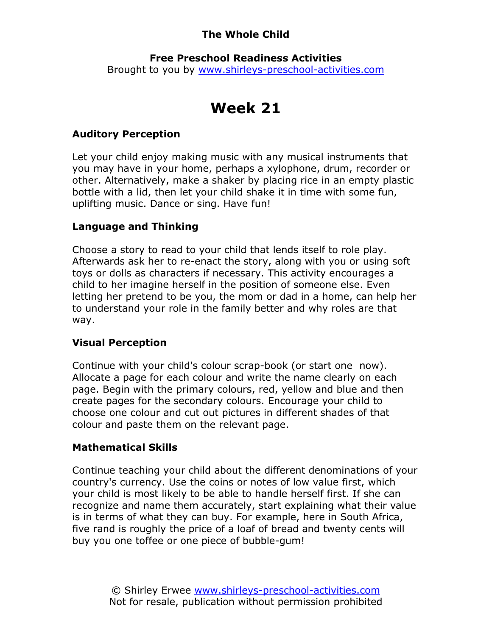# The Whole Child

## Free Preschool Readiness Activities

Brought to you by www.shirleys-preschool-activities.com

# Week 21

## Auditory Perception

Let your child enjoy making music with any musical instruments that you may have in your home, perhaps a xylophone, drum, recorder or other. Alternatively, make a shaker by placing rice in an empty plastic bottle with a lid, then let your child shake it in time with some fun, uplifting music. Dance or sing. Have fun!

# Language and Thinking

Choose a story to read to your child that lends itself to role play. Afterwards ask her to re-enact the story, along with you or using soft toys or dolls as characters if necessary. This activity encourages a child to her imagine herself in the position of someone else. Even letting her pretend to be you, the mom or dad in a home, can help her to understand your role in the family better and why roles are that way.

## Visual Perception

Continue with your child's colour scrap-book (or start one now). Allocate a page for each colour and write the name clearly on each page. Begin with the primary colours, red, yellow and blue and then create pages for the secondary colours. Encourage your child to choose one colour and cut out pictures in different shades of that colour and paste them on the relevant page.

# Mathematical Skills

Continue teaching your child about the different denominations of your country's currency. Use the coins or notes of low value first, which your child is most likely to be able to handle herself first. If she can recognize and name them accurately, start explaining what their value is in terms of what they can buy. For example, here in South Africa, five rand is roughly the price of a loaf of bread and twenty cents will buy you one toffee or one piece of bubble-gum!